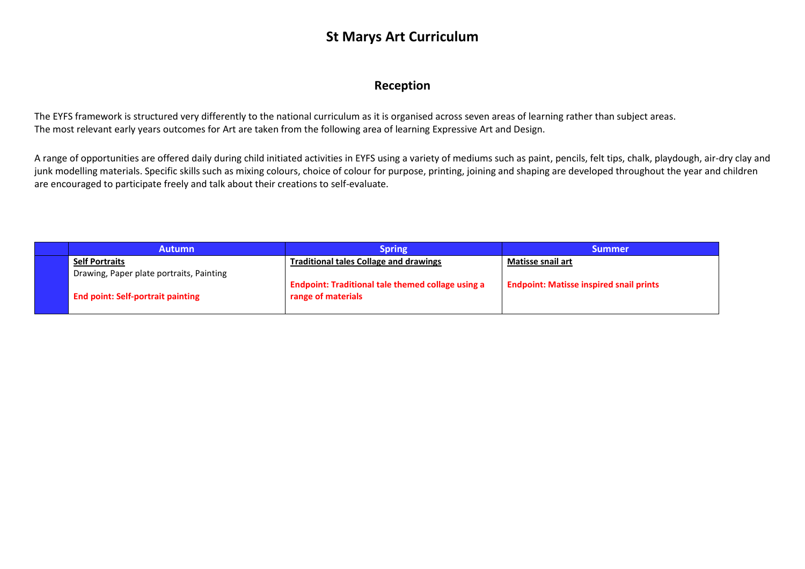#### **St Marys Art Curriculum**

#### **Reception**

The EYFS framework is structured very differently to the national curriculum as it is organised across seven areas of learning rather than subject areas. The most relevant early years outcomes for Art are taken from the following area of learning Expressive Art and Design.

A range of opportunities are offered daily during child initiated activities in EYFS using a variety of mediums such as paint, pencils, felt tips, chalk, playdough, air-dry clay and junk modelling materials. Specific skills such as mixing colours, choice of colour for purpose, printing, joining and shaping are developed throughout the year and children are encouraged to participate freely and talk about their creations to self-evaluate.

| <b>Autumn</b>                            | <b>Spring</b>                                                                  | <b>Summer</b>                                  |
|------------------------------------------|--------------------------------------------------------------------------------|------------------------------------------------|
| <b>Self Portraits</b>                    | <b>Traditional tales Collage and drawings</b>                                  | <b>Matisse snail art</b>                       |
| Drawing, Paper plate portraits, Painting |                                                                                |                                                |
| <b>End point: Self-portrait painting</b> | <b>Endpoint: Traditional tale themed collage using a</b><br>range of materials | <b>Endpoint: Matisse inspired snail prints</b> |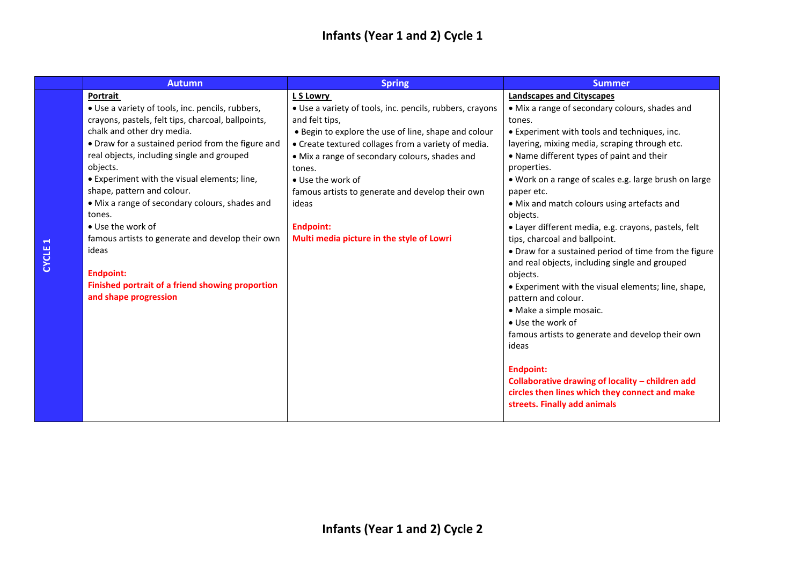# **Infants (Year 1 and 2) Cycle 1**

| <b>Autumn</b>                                      | <b>Spring</b>                                            | <b>Summer</b>                                         |
|----------------------------------------------------|----------------------------------------------------------|-------------------------------------------------------|
| Portrait                                           | L S Lowry                                                | <b>Landscapes and Cityscapes</b>                      |
| • Use a variety of tools, inc. pencils, rubbers,   | • Use a variety of tools, inc. pencils, rubbers, crayons | • Mix a range of secondary colours, shades and        |
| crayons, pastels, felt tips, charcoal, ballpoints, | and felt tips,                                           | tones.                                                |
| chalk and other dry media.                         | • Begin to explore the use of line, shape and colour     | • Experiment with tools and techniques, inc.          |
| • Draw for a sustained period from the figure and  | • Create textured collages from a variety of media.      | layering, mixing media, scraping through etc.         |
| real objects, including single and grouped         | • Mix a range of secondary colours, shades and           | • Name different types of paint and their             |
| objects.                                           | tones.                                                   | properties.                                           |
| • Experiment with the visual elements; line,       | • Use the work of                                        | . Work on a range of scales e.g. large brush on large |
| shape, pattern and colour.                         | famous artists to generate and develop their own         | paper etc.                                            |
| • Mix a range of secondary colours, shades and     | ideas                                                    | • Mix and match colours using artefacts and           |
| tones.                                             |                                                          | objects.                                              |
| • Use the work of                                  | <b>Endpoint:</b>                                         | • Layer different media, e.g. crayons, pastels, felt  |
| famous artists to generate and develop their own   | Multi media picture in the style of Lowri                | tips, charcoal and ballpoint.                         |
| ideas                                              |                                                          | • Draw for a sustained period of time from the figure |
|                                                    |                                                          | and real objects, including single and grouped        |
| <b>Endpoint:</b>                                   |                                                          | objects.                                              |
| Finished portrait of a friend showing proportion   |                                                          | • Experiment with the visual elements; line, shape,   |
| and shape progression                              |                                                          | pattern and colour.                                   |
|                                                    |                                                          | • Make a simple mosaic.                               |
|                                                    |                                                          | • Use the work of                                     |
|                                                    |                                                          | famous artists to generate and develop their own      |
|                                                    |                                                          | ideas                                                 |
|                                                    |                                                          |                                                       |
|                                                    |                                                          | <b>Endpoint:</b>                                      |
|                                                    |                                                          | Collaborative drawing of locality - children add      |
|                                                    |                                                          | circles then lines which they connect and make        |
|                                                    |                                                          | streets. Finally add animals                          |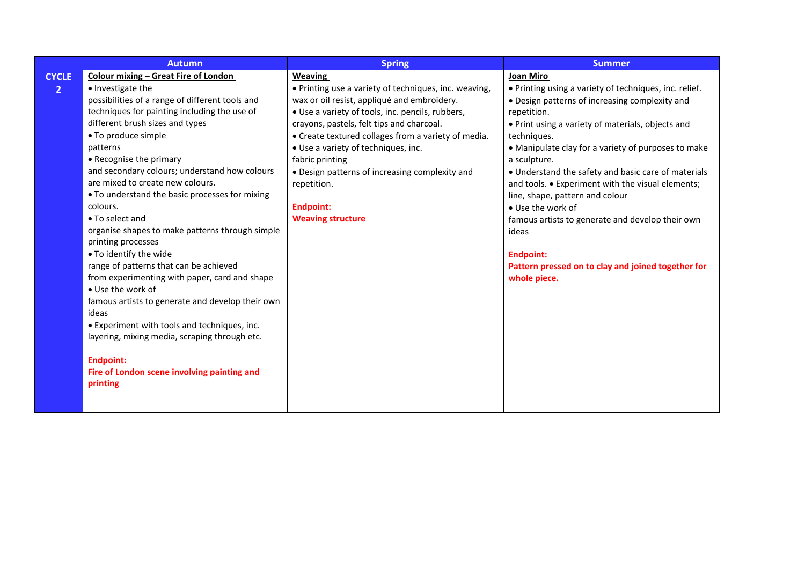|                | <b>Autumn</b>                                    | <b>Spring</b>                                         | <b>Summer</b>                                          |
|----------------|--------------------------------------------------|-------------------------------------------------------|--------------------------------------------------------|
| <b>CYCLE</b>   | <b>Colour mixing - Great Fire of London</b>      | <b>Weaving</b>                                        | <b>Joan Miro</b>                                       |
| $\overline{2}$ | • Investigate the                                | • Printing use a variety of techniques, inc. weaving, | • Printing using a variety of techniques, inc. relief. |
|                | possibilities of a range of different tools and  | wax or oil resist, appliqué and embroidery.           | • Design patterns of increasing complexity and         |
|                | techniques for painting including the use of     | • Use a variety of tools, inc. pencils, rubbers,      | repetition.                                            |
|                | different brush sizes and types                  | crayons, pastels, felt tips and charcoal.             | • Print using a variety of materials, objects and      |
|                | • To produce simple                              | • Create textured collages from a variety of media.   | techniques.                                            |
|                | patterns                                         | · Use a variety of techniques, inc.                   | • Manipulate clay for a variety of purposes to make    |
|                | • Recognise the primary                          | fabric printing                                       | a sculpture.                                           |
|                | and secondary colours; understand how colours    | • Design patterns of increasing complexity and        | • Understand the safety and basic care of materials    |
|                | are mixed to create new colours.                 | repetition.                                           | and tools. • Experiment with the visual elements;      |
|                | • To understand the basic processes for mixing   |                                                       | line, shape, pattern and colour                        |
|                | colours.                                         | <b>Endpoint:</b>                                      | • Use the work of                                      |
|                | • To select and                                  | <b>Weaving structure</b>                              | famous artists to generate and develop their own       |
|                | organise shapes to make patterns through simple  |                                                       | ideas                                                  |
|                | printing processes                               |                                                       |                                                        |
|                | . To identify the wide                           |                                                       | <b>Endpoint:</b>                                       |
|                | range of patterns that can be achieved           |                                                       | Pattern pressed on to clay and joined together for     |
|                | from experimenting with paper, card and shape    |                                                       | whole piece.                                           |
|                | • Use the work of                                |                                                       |                                                        |
|                | famous artists to generate and develop their own |                                                       |                                                        |
|                | ideas                                            |                                                       |                                                        |
|                | • Experiment with tools and techniques, inc.     |                                                       |                                                        |
|                | layering, mixing media, scraping through etc.    |                                                       |                                                        |
|                | <b>Endpoint:</b>                                 |                                                       |                                                        |
|                | Fire of London scene involving painting and      |                                                       |                                                        |
|                | printing                                         |                                                       |                                                        |
|                |                                                  |                                                       |                                                        |
|                |                                                  |                                                       |                                                        |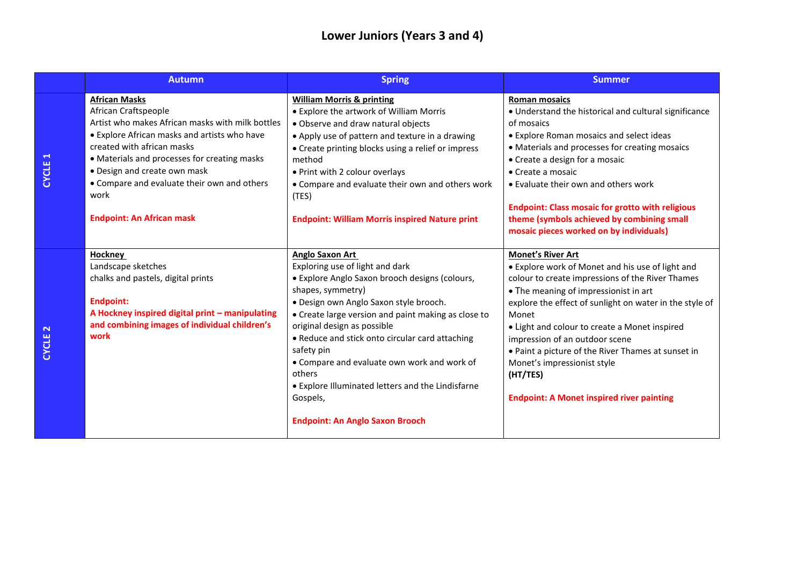# **Lower Juniors (Years 3 and 4)**

|                    | <b>Autumn</b>                                                                                                                                                                                                                                                                                                                                             | <b>Spring</b>                                                                                                                                                                                                                                                                                                                                                                                                                                                                                  | <b>Summer</b>                                                                                                                                                                                                                                                                                                                                                                                                                                                                         |
|--------------------|-----------------------------------------------------------------------------------------------------------------------------------------------------------------------------------------------------------------------------------------------------------------------------------------------------------------------------------------------------------|------------------------------------------------------------------------------------------------------------------------------------------------------------------------------------------------------------------------------------------------------------------------------------------------------------------------------------------------------------------------------------------------------------------------------------------------------------------------------------------------|---------------------------------------------------------------------------------------------------------------------------------------------------------------------------------------------------------------------------------------------------------------------------------------------------------------------------------------------------------------------------------------------------------------------------------------------------------------------------------------|
| CYCLE <sub>1</sub> | <b>African Masks</b><br>African Craftspeople<br>Artist who makes African masks with milk bottles<br>• Explore African masks and artists who have<br>created with african masks<br>• Materials and processes for creating masks<br>• Design and create own mask<br>• Compare and evaluate their own and others<br>work<br><b>Endpoint: An African mask</b> | <b>William Morris &amp; printing</b><br>• Explore the artwork of William Morris<br>• Observe and draw natural objects<br>• Apply use of pattern and texture in a drawing<br>• Create printing blocks using a relief or impress<br>method<br>. Print with 2 colour overlays<br>• Compare and evaluate their own and others work<br>(TES)<br><b>Endpoint: William Morris inspired Nature print</b>                                                                                               | <b>Roman mosaics</b><br>• Understand the historical and cultural significance<br>of mosaics<br>• Explore Roman mosaics and select ideas<br>• Materials and processes for creating mosaics<br>• Create a design for a mosaic<br>• Create a mosaic<br>• Evaluate their own and others work<br><b>Endpoint: Class mosaic for grotto with religious</b><br>theme (symbols achieved by combining small<br>mosaic pieces worked on by individuals)                                          |
| CYCLE <sub>2</sub> | <b>Hockney</b><br>Landscape sketches<br>chalks and pastels, digital prints<br><b>Endpoint:</b><br>A Hockney inspired digital print - manipulating<br>and combining images of individual children's<br>work                                                                                                                                                | Anglo Saxon Art<br>Exploring use of light and dark<br>· Explore Anglo Saxon brooch designs (colours,<br>shapes, symmetry)<br>· Design own Anglo Saxon style brooch.<br>• Create large version and paint making as close to<br>original design as possible<br>• Reduce and stick onto circular card attaching<br>safety pin<br>• Compare and evaluate own work and work of<br>others<br>• Explore Illuminated letters and the Lindisfarne<br>Gospels,<br><b>Endpoint: An Anglo Saxon Brooch</b> | <b>Monet's River Art</b><br>• Explore work of Monet and his use of light and<br>colour to create impressions of the River Thames<br>• The meaning of impressionist in art<br>explore the effect of sunlight on water in the style of<br>Monet<br>• Light and colour to create a Monet inspired<br>impression of an outdoor scene<br>• Paint a picture of the River Thames at sunset in<br>Monet's impressionist style<br>(HT/TES)<br><b>Endpoint: A Monet inspired river painting</b> |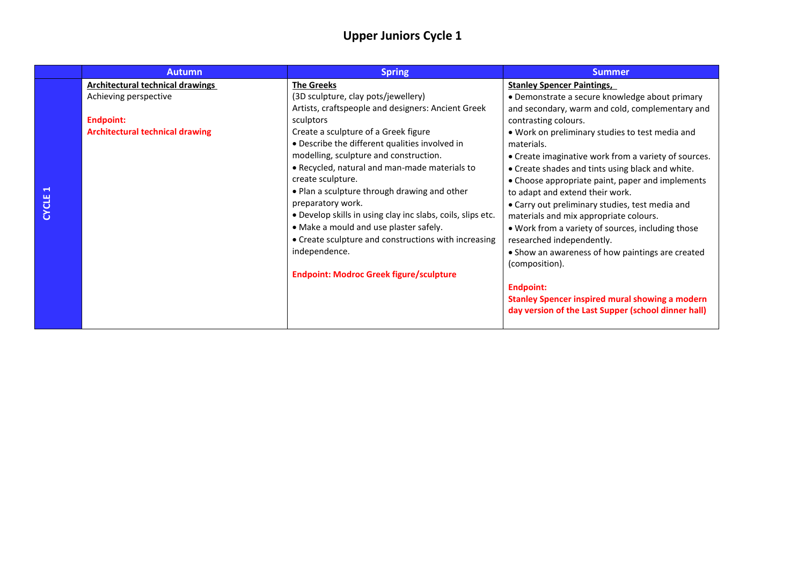## **Upper Juniors Cycle 1**

|                                      | <b>Autumn</b>                                                                                                                  | <b>Spring</b>                                                                                                                                                                                                                                                                                                                                                                                                                                                                                                                                                                                                                                  | <b>Summer</b>                                                                                                                                                                                                                                                                                                                                                                                                                                                                                                                                                                                                                                                                                                                                                                                                                |
|--------------------------------------|--------------------------------------------------------------------------------------------------------------------------------|------------------------------------------------------------------------------------------------------------------------------------------------------------------------------------------------------------------------------------------------------------------------------------------------------------------------------------------------------------------------------------------------------------------------------------------------------------------------------------------------------------------------------------------------------------------------------------------------------------------------------------------------|------------------------------------------------------------------------------------------------------------------------------------------------------------------------------------------------------------------------------------------------------------------------------------------------------------------------------------------------------------------------------------------------------------------------------------------------------------------------------------------------------------------------------------------------------------------------------------------------------------------------------------------------------------------------------------------------------------------------------------------------------------------------------------------------------------------------------|
| $\blacktriangleleft$<br><b>CYCLE</b> | <b>Architectural technical drawings</b><br>Achieving perspective<br><b>Endpoint:</b><br><b>Architectural technical drawing</b> | <b>The Greeks</b><br>(3D sculpture, clay pots/jewellery)<br>Artists, craftspeople and designers: Ancient Greek<br>sculptors<br>Create a sculpture of a Greek figure<br>• Describe the different qualities involved in<br>modelling, sculpture and construction.<br>• Recycled, natural and man-made materials to<br>create sculpture.<br>. Plan a sculpture through drawing and other<br>preparatory work.<br>. Develop skills in using clay inc slabs, coils, slips etc.<br>• Make a mould and use plaster safely.<br>• Create sculpture and constructions with increasing<br>independence.<br><b>Endpoint: Modroc Greek figure/sculpture</b> | <b>Stanley Spencer Paintings,</b><br>• Demonstrate a secure knowledge about primary<br>and secondary, warm and cold, complementary and<br>contrasting colours.<br>. Work on preliminary studies to test media and<br>materials.<br>• Create imaginative work from a variety of sources.<br>• Create shades and tints using black and white.<br>• Choose appropriate paint, paper and implements<br>to adapt and extend their work.<br>• Carry out preliminary studies, test media and<br>materials and mix appropriate colours.<br>. Work from a variety of sources, including those<br>researched independently.<br>• Show an awareness of how paintings are created<br>(composition).<br><b>Endpoint:</b><br><b>Stanley Spencer inspired mural showing a modern</b><br>day version of the Last Supper (school dinner hall) |